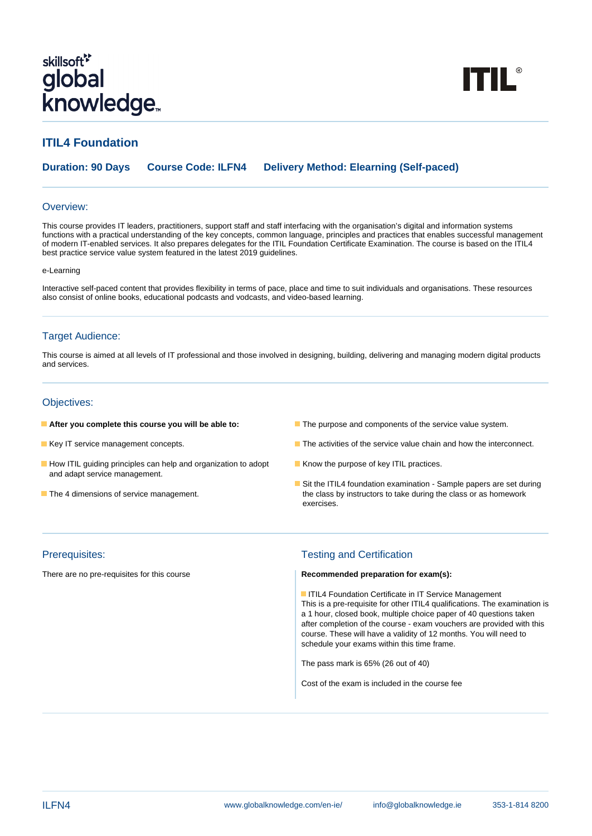# skillsoft<sup>\*</sup> global **Knowledge**

**TTIL®** 

# **ITIL4 Foundation**

**Duration: 90 Days Course Code: ILFN4 Delivery Method: Elearning (Self-paced)**

#### Overview:

This course provides IT leaders, practitioners, support staff and staff interfacing with the organisation's digital and information systems functions with a practical understanding of the key concepts, common language, principles and practices that enables successful management of modern IT-enabled services. It also prepares delegates for the ITIL Foundation Certificate Examination. The course is based on the ITIL4 best practice service value system featured in the latest 2019 guidelines.

#### e-Learning

Interactive self-paced content that provides flexibility in terms of pace, place and time to suit individuals and organisations. These resources also consist of online books, educational podcasts and vodcasts, and video-based learning.

#### Target Audience:

This course is aimed at all levels of IT professional and those involved in designing, building, delivering and managing modern digital products and services.

#### Objectives:

- 
- 
- How ITIL guiding principles can help and organization to adopt **K**now the purpose of key ITIL practices. and adapt service management.
- 
- **After you complete this course you will be able to:** The purpose and components of the service value system.
- Key IT service management concepts. The service of the service value chain and how the interconnect.
	-
- Sit the ITIL4 foundation examination Sample papers are set during The 4 dimensions of service management. The class by instructors to take during the class or as homework exercises.

#### Prerequisites: Testing and Certification

#### There are no pre-requisites for this course **Recommended preparation for exam(s):**

**IFIL4 Foundation Certificate in IT Service Management** This is a pre-requisite for other ITIL4 qualifications. The examination is a 1 hour, closed book, multiple choice paper of 40 questions taken after completion of the course - exam vouchers are provided with this course. These will have a validity of 12 months. You will need to schedule your exams within this time frame.

The pass mark is 65% (26 out of 40)

Cost of the exam is included in the course fee